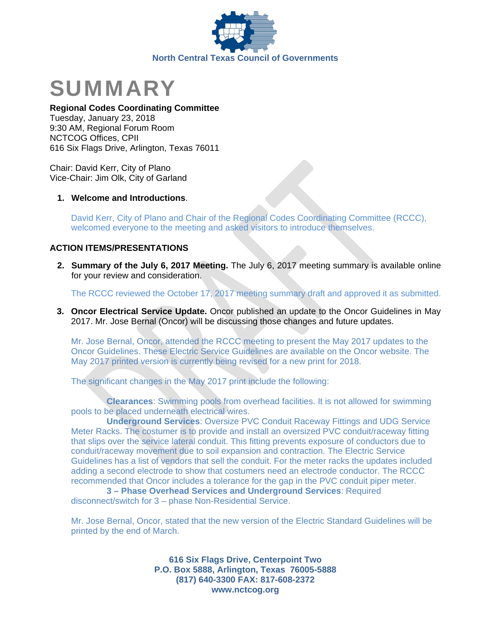



#### **Regional Codes Coordinating Committee**

Tuesday, January 23, 2018 9:30 AM, Regional Forum Room NCTCOG Offices, CPII 616 Six Flags Drive, Arlington, Texas 76011

Chair: David Kerr, City of Plano Vice-Chair: Jim Olk, City of Garland

## **1. Welcome and Introductions**.

David Kerr, City of Plano and Chair of the Regional Codes Coordinating Committee (RCCC), welcomed everyone to the meeting and asked visitors to introduce themselves.

# **ACTION ITEMS/PRESENTATIONS**

**2. Summary of the July 6, 2017 Meeting.** The July 6, 2017 meeting summary is available online for your review and consideration.

The RCCC reviewed the October 17, 2017 meeting summary draft and approved it as submitted.

**3. Oncor Electrical Service Update.** Oncor published an update to the Oncor Guidelines in May 2017. Mr. Jose Bernal (Oncor) will be discussing those changes and future updates.

Mr. Jose Bernal, Oncor, attended the RCCC meeting to present the May 2017 updates to the Oncor Guidelines. These Electric Service Guidelines are available on the Oncor website. The May 2017 printed version is currently being revised for a new print for 2018.

The significant changes in the May 2017 print include the following:

 **Clearances**: Swimming pools from overhead facilities. It is not allowed for swimming pools to be placed underneath electrical wires.

 **Underground Services**: Oversize PVC Conduit Raceway Fittings and UDG Service Meter Racks. The costumer is to provide and install an oversized PVC conduit/raceway fitting that slips over the service lateral conduit. This fitting prevents exposure of conductors due to conduit/raceway movement due to soil expansion and contraction. The Electric Service Guidelines has a list of vendors that sell the conduit. For the meter racks the updates included adding a second electrode to show that costumers need an electrode conductor. The RCCC recommended that Oncor includes a tolerance for the gap in the PVC conduit piper meter.

 **3 – Phase Overhead Services and Underground Services**: Required disconnect/switch for 3 – phase Non-Residential Service.

Mr. Jose Bernal, Oncor, stated that the new version of the Electric Standard Guidelines will be printed by the end of March.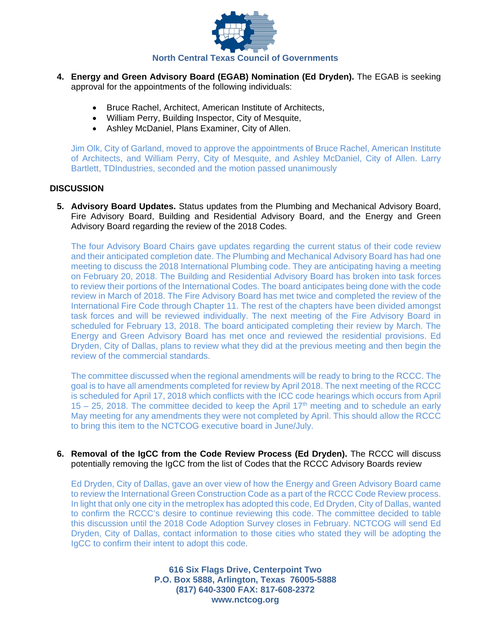

- **4. Energy and Green Advisory Board (EGAB) Nomination (Ed Dryden).** The EGAB is seeking approval for the appointments of the following individuals:
	- Bruce Rachel, Architect, American Institute of Architects,
	- William Perry, Building Inspector, City of Mesquite,
	- Ashley McDaniel, Plans Examiner, City of Allen.

Jim Olk, City of Garland, moved to approve the appointments of Bruce Rachel, American Institute of Architects, and William Perry, City of Mesquite, and Ashley McDaniel, City of Allen. Larry Bartlett, TDIndustries, seconded and the motion passed unanimously

## **DISCUSSION**

**5. Advisory Board Updates.** Status updates from the Plumbing and Mechanical Advisory Board, Fire Advisory Board, Building and Residential Advisory Board, and the Energy and Green Advisory Board regarding the review of the 2018 Codes.

The four Advisory Board Chairs gave updates regarding the current status of their code review and their anticipated completion date. The Plumbing and Mechanical Advisory Board has had one meeting to discuss the 2018 International Plumbing code. They are anticipating having a meeting on February 20, 2018. The Building and Residential Advisory Board has broken into task forces to review their portions of the International Codes. The board anticipates being done with the code review in March of 2018. The Fire Advisory Board has met twice and completed the review of the International Fire Code through Chapter 11. The rest of the chapters have been divided amongst task forces and will be reviewed individually. The next meeting of the Fire Advisory Board in scheduled for February 13, 2018. The board anticipated completing their review by March. The Energy and Green Advisory Board has met once and reviewed the residential provisions. Ed Dryden, City of Dallas, plans to review what they did at the previous meeting and then begin the review of the commercial standards.

The committee discussed when the regional amendments will be ready to bring to the RCCC. The goal is to have all amendments completed for review by April 2018. The next meeting of the RCCC is scheduled for April 17, 2018 which conflicts with the ICC code hearings which occurs from April  $15 - 25$ , 2018. The committee decided to keep the April 17<sup>th</sup> meeting and to schedule an early May meeting for any amendments they were not completed by April. This should allow the RCCC to bring this item to the NCTCOG executive board in June/July.

**6. Removal of the IgCC from the Code Review Process (Ed Dryden).** The RCCC will discuss potentially removing the IgCC from the list of Codes that the RCCC Advisory Boards review

Ed Dryden, City of Dallas, gave an over view of how the Energy and Green Advisory Board came to review the International Green Construction Code as a part of the RCCC Code Review process. In light that only one city in the metroplex has adopted this code, Ed Dryden, City of Dallas, wanted to confirm the RCCC's desire to continue reviewing this code. The committee decided to table this discussion until the 2018 Code Adoption Survey closes in February. NCTCOG will send Ed Dryden, City of Dallas, contact information to those cities who stated they will be adopting the IgCC to confirm their intent to adopt this code.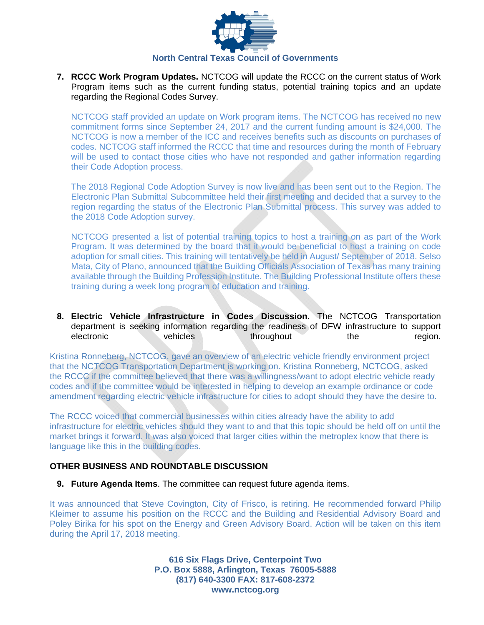

**7. RCCC Work Program Updates.** NCTCOG will update the RCCC on the current status of Work Program items such as the current funding status, potential training topics and an update regarding the Regional Codes Survey.

NCTCOG staff provided an update on Work program items. The NCTCOG has received no new commitment forms since September 24, 2017 and the current funding amount is \$24,000. The NCTCOG is now a member of the ICC and receives benefits such as discounts on purchases of codes. NCTCOG staff informed the RCCC that time and resources during the month of February will be used to contact those cities who have not responded and gather information regarding their Code Adoption process.

The 2018 Regional Code Adoption Survey is now live and has been sent out to the Region. The Electronic Plan Submittal Subcommittee held their first meeting and decided that a survey to the region regarding the status of the Electronic Plan Submittal process. This survey was added to the 2018 Code Adoption survey.

NCTCOG presented a list of potential training topics to host a training on as part of the Work Program. It was determined by the board that it would be beneficial to host a training on code adoption for small cities. This training will tentatively be held in August/ September of 2018. Selso Mata, City of Plano, announced that the Building Officials Association of Texas has many training available through the Building Profession Institute. The Building Professional Institute offers these training during a week long program of education and training.

**8. Electric Vehicle Infrastructure in Codes Discussion.** The NCTCOG Transportation department is seeking information regarding the readiness of DFW infrastructure to support electronic vehicles throughout the region.

Kristina Ronneberg, NCTCOG, gave an overview of an electric vehicle friendly environment project that the NCTCOG Transportation Department is working on. Kristina Ronneberg, NCTCOG, asked the RCCC if the committee believed that there was a willingness/want to adopt electric vehicle ready codes and if the committee would be interested in helping to develop an example ordinance or code amendment regarding electric vehicle infrastructure for cities to adopt should they have the desire to.

The RCCC voiced that commercial businesses within cities already have the ability to add infrastructure for electric vehicles should they want to and that this topic should be held off on until the market brings it forward. It was also voiced that larger cities within the metroplex know that there is language like this in the building codes.

# **OTHER BUSINESS AND ROUNDTABLE DISCUSSION**

**9. Future Agenda Items**. The committee can request future agenda items.

It was announced that Steve Covington, City of Frisco, is retiring. He recommended forward Philip Kleimer to assume his position on the RCCC and the Building and Residential Advisory Board and Poley Birika for his spot on the Energy and Green Advisory Board. Action will be taken on this item during the April 17, 2018 meeting.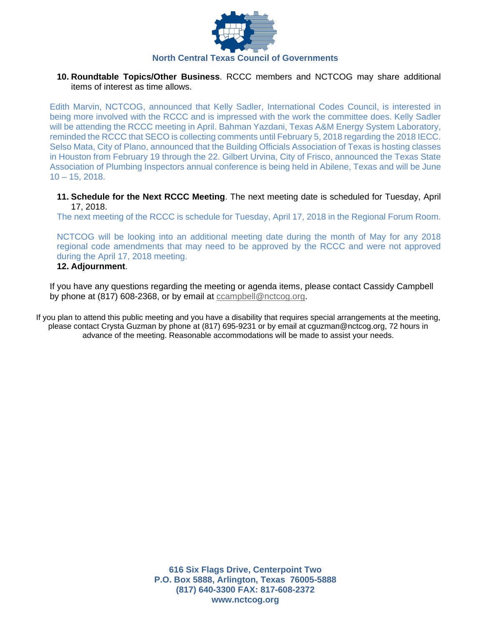

## **10. Roundtable Topics/Other Business**. RCCC members and NCTCOG may share additional items of interest as time allows.

Edith Marvin, NCTCOG, announced that Kelly Sadler, International Codes Council, is interested in being more involved with the RCCC and is impressed with the work the committee does. Kelly Sadler will be attending the RCCC meeting in April. Bahman Yazdani, Texas A&M Energy System Laboratory, reminded the RCCC that SECO is collecting comments until February 5, 2018 regarding the 2018 IECC. Selso Mata, City of Plano, announced that the Building Officials Association of Texas is hosting classes in Houston from February 19 through the 22. Gilbert Urvina, City of Frisco, announced the Texas State Association of Plumbing Inspectors annual conference is being held in Abilene, Texas and will be June 10 – 15, 2018.

**11. Schedule for the Next RCCC Meeting**. The next meeting date is scheduled for Tuesday, April 17, 2018.

The next meeting of the RCCC is schedule for Tuesday, April 17, 2018 in the Regional Forum Room.

NCTCOG will be looking into an additional meeting date during the month of May for any 2018 regional code amendments that may need to be approved by the RCCC and were not approved during the April 17, 2018 meeting.

# **12. Adjournment**.

If you have any questions regarding the meeting or agenda items, please contact Cassidy Campbell by phone at (817) 608-2368, or by email at ccampbell@nctcog.org.

If you plan to attend this public meeting and you have a disability that requires special arrangements at the meeting, please contact Crysta Guzman by phone at (817) 695-9231 or by email at cguzman@nctcog.org, 72 hours in advance of the meeting. Reasonable accommodations will be made to assist your needs.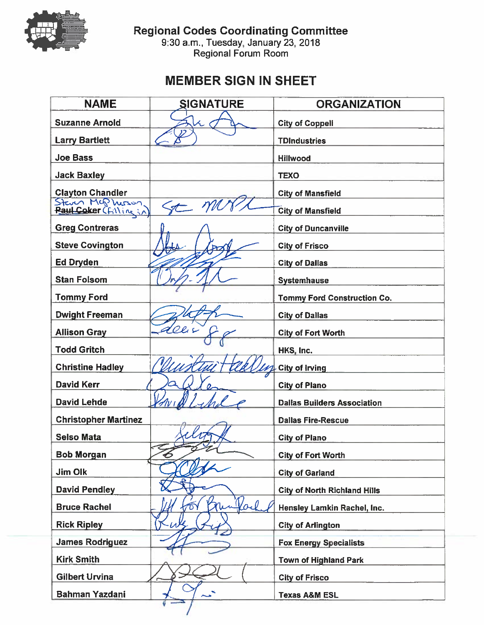

Regional Codes Coordinating Committee<br>9:30 a.m., Tuesday, January 23, 2018<br>Regional Forum Room

# **MEMBER SIGN IN SHEET**

| <b>NAME</b>                 | <b>SIGNATURE</b>   | <b>ORGANIZATION</b>                 |
|-----------------------------|--------------------|-------------------------------------|
| <b>Suzanne Arnold</b>       |                    | <b>City of Coppell</b>              |
| <b>Larry Bartlett</b>       |                    | <b>TDIndustries</b>                 |
| <b>Joe Bass</b>             |                    | <b>Hillwood</b>                     |
| <b>Jack Baxley</b>          |                    | <b>TEXO</b>                         |
| <b>Clayton Chandler</b>     |                    | <b>City of Mansfield</b>            |
| Steven Mc Musson            |                    | <b>City of Mansfield</b>            |
| <b>Greg Contreras</b>       |                    | <b>City of Duncanville</b>          |
| <b>Steve Covington</b>      |                    | <b>City of Frisco</b>               |
| Ed Dryden                   |                    | <b>City of Dallas</b>               |
| <b>Stan Folsom</b>          |                    | <b>Systemhause</b>                  |
| <b>Tommy Ford</b>           |                    | <b>Tommy Ford Construction Co.</b>  |
| <b>Dwight Freeman</b>       |                    | <b>City of Dallas</b>               |
| <b>Allison Gray</b>         |                    | <b>City of Fort Worth</b>           |
| <b>Todd Gritch</b>          |                    | HKS, Inc.                           |
| <b>Christine Hadley</b>     |                    | <b>City of Irving</b>               |
| <b>David Kerr</b>           |                    | <b>City of Plano</b>                |
| <b>David Lehde</b>          |                    | <b>Dallas Builders Association</b>  |
| <b>Christopher Martinez</b> |                    | <b>Dallas Fire-Rescue</b>           |
| <b>Selso Mata</b>           |                    | <b>City of Plano</b>                |
| <b>Bob Morgan</b>           | $\hat{\mathbf{P}}$ | <b>City of Fort Worth</b>           |
| <b>Jim Olk</b>              |                    | <b>City of Garland</b>              |
| <b>David Pendley</b>        |                    | <b>City of North Richland Hills</b> |
| <b>Bruce Rachel</b>         | forl               | Hensley Lamkin Rachel, Inc.         |
| <b>Rick Ripley</b>          |                    | <b>City of Arlington</b>            |
| <b>James Rodriguez</b>      |                    | <b>Fox Energy Specialists</b>       |
| <b>Kirk Smith</b>           |                    | <b>Town of Highland Park</b>        |
| <b>Gilbert Urvina</b>       |                    | <b>City of Frisco</b>               |
| <b>Bahman Yazdani</b>       |                    | <b>Texas A&amp;M ESL</b>            |